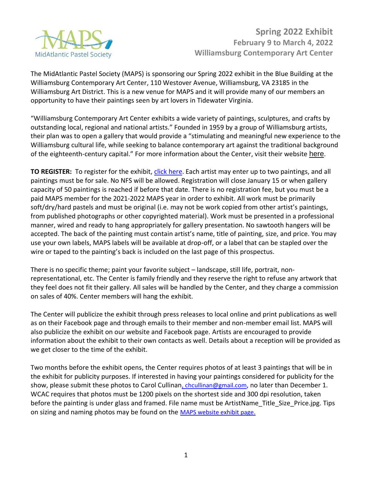

The MidAtlantic Pastel Society (MAPS) is sponsoring our Spring 2022 exhibit in the Blue Building at the Williamsburg Contemporary Art Center, 110 Westover Avenue, Williamsburg, VA 23185 in the Williamsburg Art District. This is a new venue for MAPS and it will provide many of our members an opportunity to have their paintings seen by art lovers in Tidewater Virginia.

"Williamsburg Contemporary Art Center exhibits a wide variety of paintings, sculptures, and crafts by outstanding local, regional and national artists." Founded in 1959 by a group of Williamsburg artists, their plan was to open a gallery that would provide a "stimulating and meaningful new experience to the Williamsburg cultural life, while seeking to balance contemporary art against the traditional background of the eighteenth-century capital." For more information about the Center, visit their website [here](https://visitwcac.org/).

**TO REGISTER:** To register for the exhibit[, click here.](https://www.midatlanticpastelsociety.com/exhibitions.html) Each artist may enter up to two paintings, and all paintings must be for sale. No NFS will be allowed. Registration will close January 15 or when gallery capacity of 50 paintings is reached if before that date. There is no registration fee, but you must be a paid MAPS member for the 2021-2022 MAPS year in order to exhibit. All work must be primarily soft/dry/hard pastels and must be original (i.e. may not be work copied from other artist's paintings, from published photographs or other copyrighted material). Work must be presented in a professional manner, wired and ready to hang appropriately for gallery presentation. No sawtooth hangers will be accepted. The back of the painting must contain artist's name, title of painting, size, and price. You may use your own labels, MAPS labels will be available at drop-off, or a label that can be stapled over the wire or taped to the painting's back is included on the last page of this prospectus.

There is no specific theme; paint your favorite subject – landscape, still life, portrait, nonrepresentational, etc. The Center is family friendly and they reserve the right to refuse any artwork that they feel does not fit their gallery. All sales will be handled by the Center, and they charge a commission on sales of 40%. Center members will hang the exhibit.

The Center will publicize the exhibit through press releases to local online and print publications as well as on their Facebook page and through emails to their member and non-member email list. MAPS will also publicize the exhibit on our website and Facebook page. Artists are encouraged to provide information about the exhibit to their own contacts as well. Details about a reception will be provided as we get closer to the time of the exhibit.

Two months before the exhibit opens, the Center requires photos of at least 3 paintings that will be in the exhibit for publicity purposes. If interested in having your paintings considered for publicity for the show, please submit these photos to Carol Cullinan[, chcullinan@gmail.com](mailto:chcullinan@gmail.com), no later than December 1. WCAC requires that photos must be 1200 pixels on the shortest side and 300 dpi resolution, taken before the painting is under glass and framed. File name must be ArtistName Title Size Price.jpg. Tips on sizing and naming photos may be found on the [MAPS website exhibit page.](https://www.midatlanticpastelsociety.com/exhibitions.html)